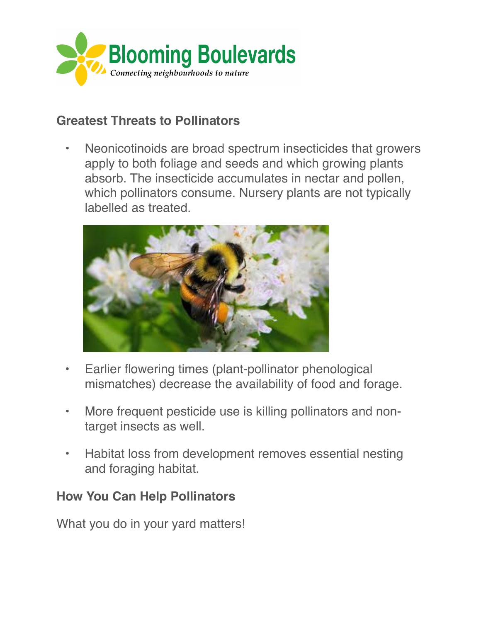

## **Greatest Threats to Pollinators**

• Neonicotinoids are broad spectrum insecticides that growers apply to both foliage and seeds and which growing plants absorb. The insecticide accumulates in nectar and pollen, which pollinators consume. Nursery plants are not typically labelled as treated.



- Earlier flowering times (plant-pollinator phenological mismatches) decrease the availability of food and forage.
- More frequent pesticide use is killing pollinators and nontarget insects as well.
- Habitat loss from development removes essential nesting and foraging habitat.

## **How You Can Help Pollinators**

What you do in your yard matters!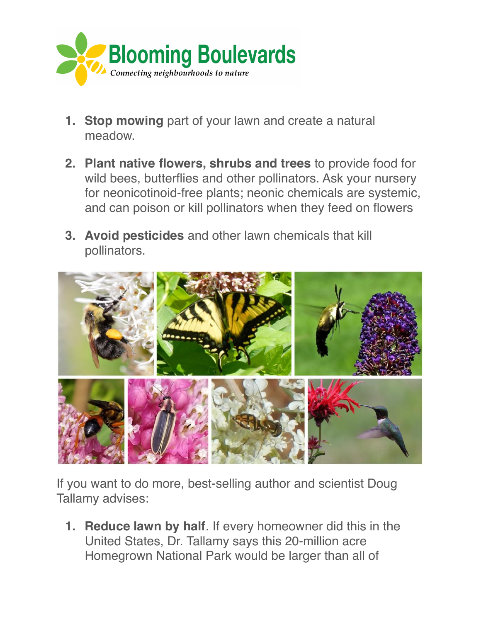

- **1. Stop mowing** part of your lawn and create a natural meadow.
- **2. Plant native flowers, shrubs and trees** to provide food for wild bees, butterflies and other pollinators. Ask your nursery for neonicotinoid-free plants; neonic chemicals are systemic, and can poison or kill pollinators when they feed on flowers
- **3. Avoid pesticides** and other lawn chemicals that kill pollinators.



If you want to do more, best-selling author and scientist Doug Tallamy advises:

**1. Reduce lawn by half**. If every homeowner did this in the United States, Dr. Tallamy says this 20-million acre Homegrown National Park would be larger than all of